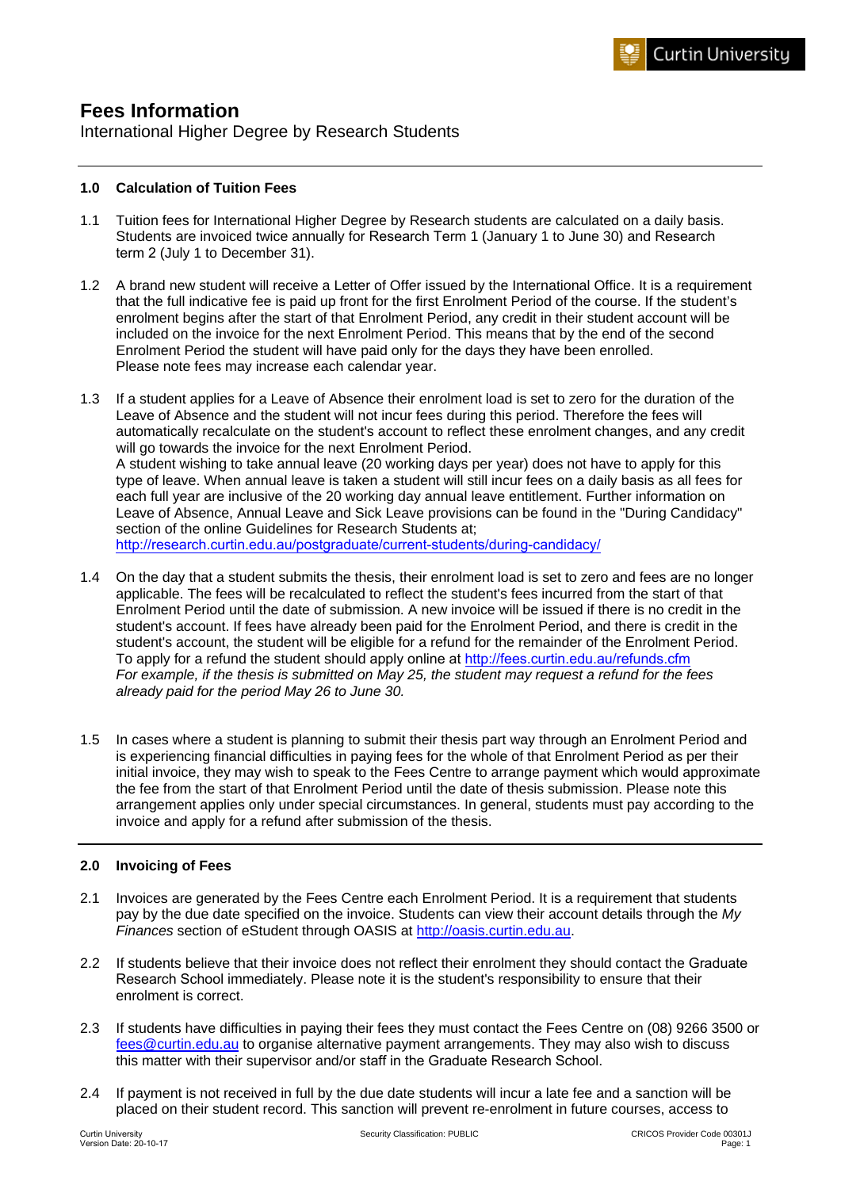# **Fees Information**

International Higher Degree by Research Students

# **1.0 Calculation of Tuition Fees**

- 1.1 Tuition fees for International Higher Degree by Research students are calculated on a daily basis. Students are invoiced twice annually for Research Term 1 (January 1 to June 30) and Research term 2 (July 1 to December 31).
- 1.2 A brand new student will receive a Letter of Offer issued by the International Office. It is a requirement that the full indicative fee is paid up front for the first Enrolment Period of the course. If the student's enrolment begins after the start of that Enrolment Period, any credit in their student account will be included on the invoice for the next Enrolment Period. This means that by the end of the second Enrolment Period the student will have paid only for the days they have been enrolled. Please note fees may increase each calendar year.
- 1.3 If a student applies for a Leave of Absence their enrolment load is set to zero for the duration of the Leave of Absence and the student will not incur fees during this period. Therefore the fees will automatically recalculate on the student's account to reflect these enrolment changes, and any credit will go towards the invoice for the next Enrolment Period. A student wishing to take annual leave (20 working days per year) does not have to apply for this type of leave. When annual leave is taken a student will still incur fees on a daily basis as all fees for each full year are inclusive of the 20 working day annual leave entitlement. Further information on Leave of Absence, Annual Leave and Sick Leave provisions can be found in the "During Candidacy" section of the online Guidelines for Research Students at; http://resear[ch.curtin.edu.au/postgraduate/current-students/during-candidacy/](http://research.curtin.edu.au/postgraduate/current-students/during-candidacy/)
- 1.4 On the day that a student submits the thesis, their enrolment load is set to zero and fees are no longer applicable. The fees will be recalculated to reflect the student's fees incurred from the start of that Enrolment Period until the date of submission. A new invoice will be issued if there is no credit in the student's account. If fees have already been paid for the Enrolment Period, and there is credit in the student's account, the student will be eligible for a refund for the remainder of the Enrolment Period. To apply for a refund the student should apply online at <http://fees.curtin.edu.au/refunds.cfm> *For example, if the thesis is submitted on May 25, the student may request a refund for the fees already paid for the period May 26 to June 30.*
- 1.5 In cases where a student is planning to submit their thesis part way through an Enrolment Period and is experiencing financial difficulties in paying fees for the whole of that Enrolment Period as per their initial invoice, they may wish to speak to the Fees Centre to arrange payment which would approximate the fee from the start of that Enrolment Period until the date of thesis submission. Please note this arrangement applies only under special circumstances. In general, students must pay according to the invoice and apply for a refund after submission of the thesis.

# **2.0 Invoicing of Fees**

- 2.1 Invoices are generated by the Fees Centre each Enrolment Period. It is a requirement that students pay by the due date specified on the invoice. Students can view their account details through the *My Finances* section of eStudent through OASIS at [http://oasis.curtin.edu.au.](https://oasis.curtin.edu.au/Auth/LogOn)
- 2.2 If students believe that their invoice does not reflect their enrolment they should contact the Graduate Research School immediately. Please note it is the student's responsibility to ensure that their enrolment is correct.
- 2.3 If students have difficulties in paying their fees they must contact the Fees Centre on (08) 9266 3500 or [fees@curtin.edu.au](mailto:fees@curtin.edu.au) to organise alternative payment arrangements. They may also wish to discuss this matter with their supervisor and/or staff in the Graduate Research School.
- 2.4 If payment is not received in full by the due date students will incur a late fee and a sanction will be placed on their student record. This sanction will prevent re-enrolment in future courses, access to